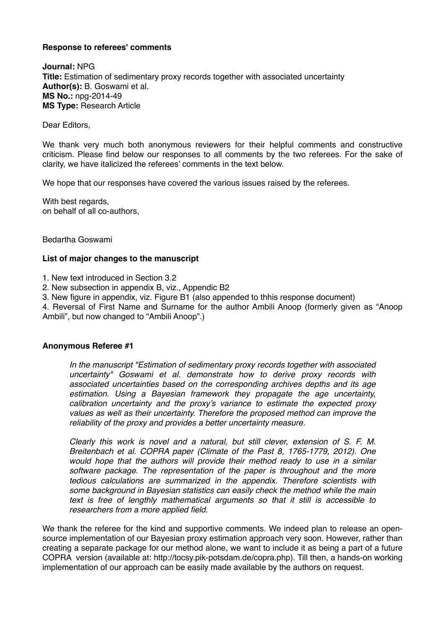# **Response to referees' comments**

**Journal:** NPG **Title:** Estimation of sedimentary proxy records together with associated uncertainty **Author(s):** B. Goswami et al. **MS No.:** npg-2014-49 **MS Type:** Research Article

Dear Editors,

We thank very much both anonymous reviewers for their helpful comments and constructive criticism. Please find below our responses to all comments by the two referees. For the sake of clarity, we have italicized the referees' comments in the text below.

We hope that our responses have covered the various issues raised by the referees.

With best regards. on behalf of all co-authors,

Bedartha Goswami

### **List of major changes to the manuscript**

1. New text introduced in Section 3.2

2. New subsection in appendix B, viz., Appendic B2

3. New figure in appendix, viz. Figure B1 (also appended to thhis response document)

4. Reversal of First Name and Surname for the author Ambili Anoop (formerly given as "Anoop Ambili", but now changed to "Ambili Anoop".)

### **Anonymous Referee #1**

*In the manuscript "Estimation of sedimentary proxy records together with associated uncertainty" Goswami et al. demonstrate how to derive proxy records with associated uncertainties based on the corresponding archives depths and its age estimation. Using a Bayesian framework they propagate the age uncertainty, calibration uncertainty and the proxy's variance to estimate the expected proxy values as well as their uncertainty. Therefore the proposed method can improve the reliability of the proxy and provides a better uncertainty measure.*

*Clearly this work is novel and a natural, but still clever, extension of S. F. M. Breitenbach et al. COPRA paper (Climate of the Past 8, 1765-1779, 2012). One would hope that the authors will provide their method ready to use in a similar software package. The representation of the paper is throughout and the more tedious calculations are summarized in the appendix. Therefore scientists with some background in Bayesian statistics can easily check the method while the main text is free of lengthly mathematical arguments so that it still is accessible to researchers from a more applied field.*

We thank the referee for the kind and supportive comments. We indeed plan to release an opensource implementation of our Bayesian proxy estimation approach very soon. However, rather than creating a separate package for our method alone, we want to include it as being a part of a future COPRA version (available at: http://tocsy.pik-potsdam.de/copra.php). Till then, a hands-on working implementation of our approach can be easily made available by the authors on request.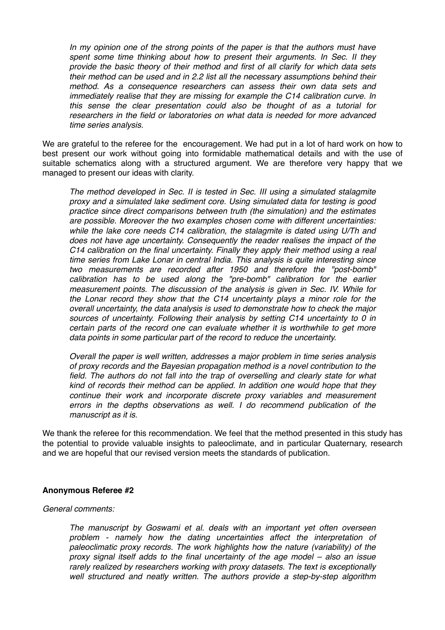*In my opinion one of the strong points of the paper is that the authors must have spent some time thinking about how to present their arguments. In Sec. II they provide the basic theory of their method and first of all clarify for which data sets their method can be used and in 2.2 list all the necessary assumptions behind their method. As a consequence researchers can assess their own data sets and immediately realise that they are missing for example the C14 calibration curve. In this sense the clear presentation could also be thought of as a tutorial for researchers in the field or laboratories on what data is needed for more advanced time series analysis.*

We are grateful to the referee for the encouragement. We had put in a lot of hard work on how to best present our work without going into formidable mathematical details and with the use of suitable schematics along with a structured argument. We are therefore very happy that we managed to present our ideas with clarity.

*The method developed in Sec. II is tested in Sec. III using a simulated stalagmite proxy and a simulated lake sediment core. Using simulated data for testing is good practice since direct comparisons between truth (the simulation) and the estimates are possible. Moreover the two examples chosen come with different uncertainties: while the lake core needs C14 calibration, the stalagmite is dated using U/Th and*  does not have age uncertainty. Consequently the reader realises the impact of the *C14 calibration on the final uncertainty. Finally they apply their method using a real time series from Lake Lonar in central India. This analysis is quite interesting since two measurements are recorded after 1950 and therefore the "post-bomb" calibration has to be used along the "pre-bomb" calibration for the earlier measurement points. The discussion of the analysis is given in Sec. IV. While for the Lonar record they show that the C14 uncertainty plays a minor role for the overall uncertainty, the data analysis is used to demonstrate how to check the major sources of uncertainty. Following their analysis by setting C14 uncertainty to 0 in certain parts of the record one can evaluate whether it is worthwhile to get more data points in some particular part of the record to reduce the uncertainty.*

*Overall the paper is well written, addresses a major problem in time series analysis of proxy records and the Bayesian propagation method is a novel contribution to the*  field. The authors do not fall into the trap of overselling and clearly state for what *kind of records their method can be applied. In addition one would hope that they continue their work and incorporate discrete proxy variables and measurement errors in the depths observations as well. I do recommend publication of the manuscript as it is.*

We thank the referee for this recommendation. We feel that the method presented in this study has the potential to provide valuable insights to paleoclimate, and in particular Quaternary, research and we are hopeful that our revised version meets the standards of publication.

# **Anonymous Referee #2**

### *General comments:*

*The manuscript by Goswami et al. deals with an important yet often overseen problem - namely how the dating uncertainties affect the interpretation of paleoclimatic proxy records. The work highlights how the nature (variability) of the proxy signal itself adds to the final uncertainty of the age model – also an issue rarely realized by researchers working with proxy datasets. The text is exceptionally well structured and neatly written. The authors provide a step-by-step algorithm*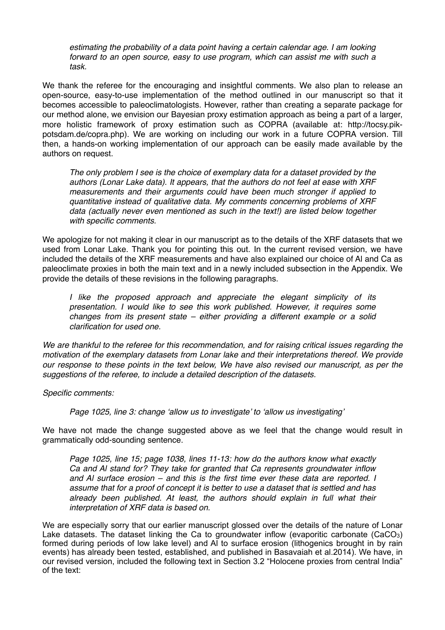*estimating the probability of a data point having a certain calendar age. I am looking forward to an open source, easy to use program, which can assist me with such a task.*

We thank the referee for the encouraging and insightful comments. We also plan to release an open-source, easy-to-use implementation of the method outlined in our manuscript so that it becomes accessible to paleoclimatologists. However, rather than creating a separate package for our method alone, we envision our Bayesian proxy estimation approach as being a part of a larger, more holistic framework of proxy estimation such as COPRA (available at: http://tocsy.pikpotsdam.de/copra.php). We are working on including our work in a future COPRA version. Till then, a hands-on working implementation of our approach can be easily made available by the authors on request.

*The only problem I see is the choice of exemplary data for a dataset provided by the authors (Lonar Lake data). It appears, that the authors do not feel at ease with XRF measurements and their arguments could have been much stronger if applied to quantitative instead of qualitative data. My comments concerning problems of XRF data (actually never even mentioned as such in the text!) are listed below together with specific comments.*

We apologize for not making it clear in our manuscript as to the details of the XRF datasets that we used from Lonar Lake. Thank you for pointing this out. In the current revised version, we have included the details of the XRF measurements and have also explained our choice of Al and Ca as paleoclimate proxies in both the main text and in a newly included subsection in the Appendix. We provide the details of these revisions in the following paragraphs.

*I like the proposed approach and appreciate the elegant simplicity of its presentation. I would like to see this work published. However, it requires some changes from its present state – either providing a different example or a solid clarification for used one.*

*We are thankful to the referee for this recommendation, and for raising critical issues regarding the motivation of the exemplary datasets from Lonar lake and their interpretations thereof. We provide our response to these points in the text below, We have also revised our manuscript, as per the suggestions of the referee, to include a detailed description of the datasets.*

*Specific comments:*

*Page 1025, line 3: change 'allow us to investigate' to 'allow us investigating'*

We have not made the change suggested above as we feel that the change would result in grammatically odd-sounding sentence.

*Page 1025, line 15; page 1038, lines 11-13: how do the authors know what exactly Ca and Al stand for? They take for granted that Ca represents groundwater inflow and Al surface erosion – and this is the first time ever these data are reported. I assume that for a proof of concept it is better to use a dataset that is settled and has already been published. At least, the authors should explain in full what their interpretation of XRF data is based on.*

We are especially sorry that our earlier manuscript glossed over the details of the nature of Lonar Lake datasets. The dataset linking the Ca to groundwater inflow (evaporitic carbonate (CaCO<sub>3</sub>) formed during periods of low lake level) and Al to surface erosion (lithogenics brought in by rain events) has already been tested, established, and published in Basavaiah et al.2014). We have, in our revised version, included the following text in Section 3.2 "Holocene proxies from central India" of the text: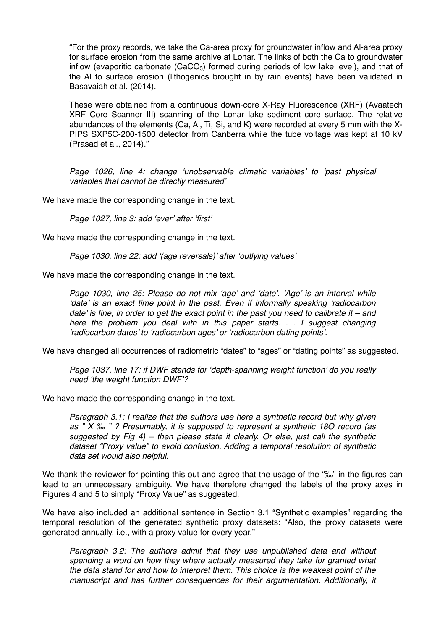"For the proxy records, we take the Ca-area proxy for groundwater inflow and Al-area proxy for surface erosion from the same archive at Lonar. The links of both the Ca to groundwater inflow (evaporitic carbonate  $(CaCO<sub>3</sub>)$  formed during periods of low lake level), and that of the Al to surface erosion (lithogenics brought in by rain events) have been validated in Basavaiah et al. (2014).

These were obtained from a continuous down-core X-Ray Fluorescence (XRF) (Avaatech XRF Core Scanner III) scanning of the Lonar lake sediment core surface. The relative abundances of the elements (Ca, Al, Ti, Si, and K) were recorded at every 5 mm with the X-PIPS SXP5C-200-1500 detector from Canberra while the tube voltage was kept at 10 kV (Prasad et al., 2014)."

*Page 1026, line 4: change 'unobservable climatic variables' to 'past physical variables that cannot be directly measured'*

We have made the corresponding change in the text.

*Page 1027, line 3: add 'ever' after 'first'*

We have made the corresponding change in the text.

*Page 1030, line 22: add '(age reversals)' after 'outlying values'*

We have made the corresponding change in the text.

*Page 1030, line 25: Please do not mix 'age' and 'date'. 'Age' is an interval while 'date' is an exact time point in the past. Even if informally speaking 'radiocarbon date' is fine, in order to get the exact point in the past you need to calibrate it – and here the problem you deal with in this paper starts. . . I suggest changing 'radiocarbon dates' to 'radiocarbon ages' or 'radiocarbon dating points'.*

We have changed all occurrences of radiometric "dates" to "ages" or "dating points" as suggested.

*Page 1037, line 17: if DWF stands for 'depth-spanning weight function' do you really need 'the weight function DWF'?*

We have made the corresponding change in the text.

*Paragraph 3.1: I realize that the authors use here a synthetic record but why given as " X ‰ " ? Presumably, it is supposed to represent a synthetic 18O record (as suggested by Fig 4) – then please state it clearly. Or else, just call the synthetic dataset "Proxy value" to avoid confusion. Adding a temporal resolution of synthetic data set would also helpful.*

We thank the reviewer for pointing this out and agree that the usage of the "‰" in the figures can lead to an unnecessary ambiguity. We have therefore changed the labels of the proxy axes in Figures 4 and 5 to simply "Proxy Value" as suggested.

We have also included an additional sentence in Section 3.1 "Synthetic examples" regarding the temporal resolution of the generated synthetic proxy datasets: "Also, the proxy datasets were generated annually, i.e., with a proxy value for every year."

*Paragraph 3.2: The authors admit that they use unpublished data and without spending a word on how they where actually measured they take for granted what the data stand for and how to interpret them. This choice is the weakest point of the manuscript and has further consequences for their argumentation. Additionally, it*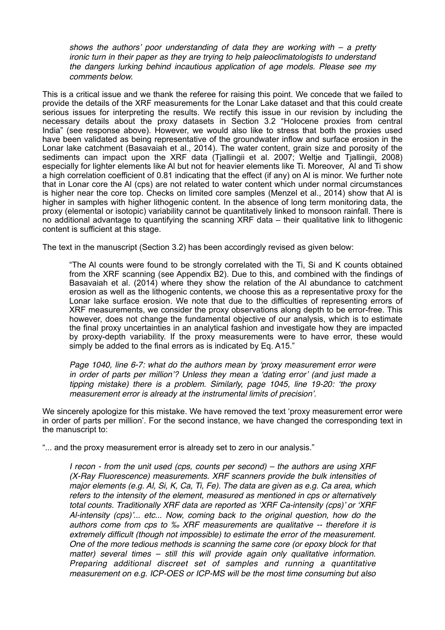*shows the authors' poor understanding of data they are working with – a pretty ironic turn in their paper as they are trying to help paleoclimatologists to understand the dangers lurking behind incautious application of age models. Please see my comments below.*

This is a critical issue and we thank the referee for raising this point. We concede that we failed to provide the details of the XRF measurements for the Lonar Lake dataset and that this could create serious issues for interpreting the results. We rectify this issue in our revision by including the necessary details about the proxy datasets in Section 3.2 "Holocene proxies from central India" (see response above). However, we would also like to stress that both the proxies used have been validated as being representative of the groundwater inflow and surface erosion in the Lonar lake catchment (Basavaiah et al., 2014). The water content, grain size and porosity of the sediments can impact upon the XRF data (Tjallingii et al. 2007; Weltje and Tjallingii, 2008) especially for lighter elements like Al but not for heavier elements like Ti. Moreover, Al and Ti show a high correlation coefficient of 0.81 indicating that the effect (if any) on Al is minor. We further note that in Lonar core the Al (cps) are not related to water content which under normal circumstances is higher near the core top. Checks on limited core samples (Menzel et al., 2014) show that Al is higher in samples with higher lithogenic content. In the absence of long term monitoring data, the proxy (elemental or isotopic) variability cannot be quantitatively linked to monsoon rainfall. There is no additional advantage to quantifying the scanning XRF data – their qualitative link to lithogenic content is sufficient at this stage.

The text in the manuscript (Section 3.2) has been accordingly revised as given below:

"The Al counts were found to be strongly correlated with the Ti, Si and K counts obtained from the XRF scanning (see Appendix B2). Due to this, and combined with the findings of Basavaiah et al. (2014) where they show the relation of the Al abundance to catchment erosion as well as the lithogenic contents, we choose this as a representative proxy for the Lonar lake surface erosion. We note that due to the difficulties of representing errors of XRF measurements, we consider the proxy observations along depth to be error-free. This however, does not change the fundamental objective of our analysis, which is to estimate the final proxy uncertainties in an analytical fashion and investigate how they are impacted by proxy-depth variability. If the proxy measurements were to have error, these would simply be added to the final errors as is indicated by Eq. A15."

*Page 1040, line 6-7: what do the authors mean by 'proxy measurement error were in order of parts per million'? Unless they mean a 'dating error' (and just made a tipping mistake) there is a problem. Similarly, page 1045, line 19-20: 'the proxy measurement error is already at the instrumental limits of precision'.*

We sincerely apologize for this mistake. We have removed the text 'proxy measurement error were in order of parts per million'. For the second instance, we have changed the corresponding text in the manuscript to:

"... and the proxy measurement error is already set to zero in our analysis."

*I recon - from the unit used (cps, counts per second) – the authors are using XRF (X-Ray Fluorescence) measurements. XRF scanners provide the bulk intensities of major elements (e.g. Al, Si, K, Ca, Ti, Fe). The data are given as e.g. Ca area, which refers to the intensity of the element, measured as mentioned in cps or alternatively total counts. Traditionally XRF data are reported as 'XRF Ca-intensity (cps)' or 'XRF Al-intensity (cps)'... etc... Now, coming back to the original question, how do the authors come from cps to ‰ XRF measurements are qualitative -- therefore it is extremely difficult (though not impossible) to estimate the error of the measurement. One of the more tedious methods is scanning the same core (or epoxy block for that matter) several times – still this will provide again only qualitative information. Preparing additional discreet set of samples and running a quantitative measurement on e.g. ICP-OES or ICP-MS will be the most time consuming but also*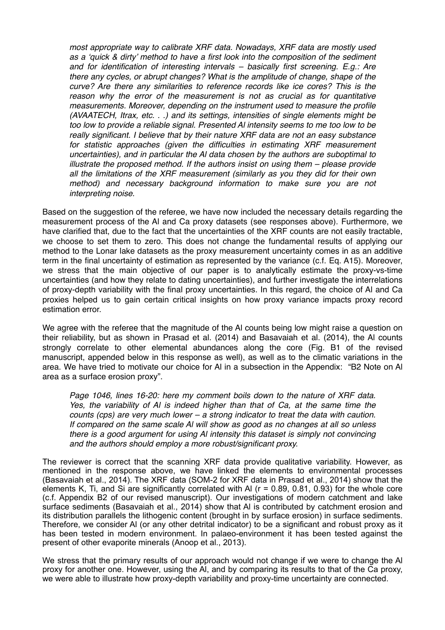*most appropriate way to calibrate XRF data. Nowadays, XRF data are mostly used as a 'quick & dirty' method to have a first look into the composition of the sediment and for identification of interesting intervals – basically first screening. E.g.: Are there any cycles, or abrupt changes? What is the amplitude of change, shape of the curve? Are there any similarities to reference records like ice cores? This is the*  reason why the error of the measurement is not as crucial as for quantitative *measurements. Moreover, depending on the instrument used to measure the profile (AVAATECH, Itrax, etc. . .) and its settings, intensities of single elements might be too low to provide a reliable signal. Presented Al intensity seems to me too low to be really significant. I believe that by their nature XRF data are not an easy substance for statistic approaches (given the difficulties in estimating XRF measurement uncertainties), and in particular the Al data chosen by the authors are suboptimal to illustrate the proposed method. If the authors insist on using them – please provide all the limitations of the XRF measurement (similarly as you they did for their own method) and necessary background information to make sure you are not interpreting noise.*

Based on the suggestion of the referee, we have now included the necessary details regarding the measurement process of the Al and Ca proxy datasets (see responses above). Furthermore, we have clarified that, due to the fact that the uncertainties of the XRF counts are not easily tractable, we choose to set them to zero. This does not change the fundamental results of applying our method to the Lonar lake datasets as the proxy measurement uncertainty comes in as an additive term in the final uncertainty of estimation as represented by the variance (c.f. Eq. A15). Moreover, we stress that the main objective of our paper is to analytically estimate the proxy-vs-time uncertainties (and how they relate to dating uncertainties), and further investigate the interrelations of proxy-depth variability with the final proxy uncertainties. In this regard, the choice of Al and Ca proxies helped us to gain certain critical insights on how proxy variance impacts proxy record estimation error.

We agree with the referee that the magnitude of the Al counts being low might raise a question on their reliability, but as shown in Prasad et al. (2014) and Basavaiah et al. (2014), the Al counts strongly correlate to other elemental abundances along the core (Fig. B1 of the revised manuscript, appended below in this response as well), as well as to the climatic variations in the area. We have tried to motivate our choice for Al in a subsection in the Appendix: "B2 Note on Al area as a surface erosion proxy".

*Page 1046, lines 16-20: here my comment boils down to the nature of XRF data. Yes, the variability of Al is indeed higher than that of Ca, at the same time the counts (cps) are very much lower – a strong indicator to treat the data with caution. If compared on the same scale Al will show as good as no changes at all so unless there is a good argument for using Al intensity this dataset is simply not convincing and the authors should employ a more robust/significant proxy.*

The reviewer is correct that the scanning XRF data provide qualitative variability. However, as mentioned in the response above, we have linked the elements to environmental processes (Basavaiah et al., 2014). The XRF data (SOM-2 for XRF data in Prasad et al., 2014) show that the elements K. Ti, and Si are significantly correlated with AI ( $r = 0.89, 0.81, 0.93$ ) for the whole core (c.f. Appendix B2 of our revised manuscript). Our investigations of modern catchment and lake surface sediments (Basavaiah et al., 2014) show that Al is contributed by catchment erosion and its distribution parallels the lithogenic content (brought in by surface erosion) in surface sediments. Therefore, we consider Al (or any other detrital indicator) to be a significant and robust proxy as it has been tested in modern environment. In palaeo-environment it has been tested against the present of other evaporite minerals (Anoop et al., 2013).

We stress that the primary results of our approach would not change if we were to change the Al proxy for another one. However, using the Al, and by comparing its results to that of the Ca proxy, we were able to illustrate how proxy-depth variability and proxy-time uncertainty are connected.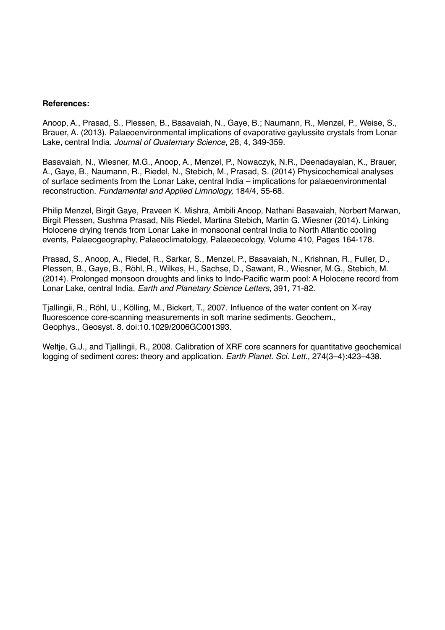### **References:**

[Anoop, A.](https://3c.gmx.net/mail/client/dereferrer?redirecturl=http%253a%252f%252fwww.gfz-potsdam.de%252fforschung%252fueberblick%252fdepartments%252fdepartment-5%252fhydrologie%252fmitarbeiter%252fprofil%252fsushma-prasad%252fpublication%252f%253fpublicationlink%253dyes%2526author%253danoop%2526fname%253da.%2526lang%253dde), [Prasad, S.,](https://3c.gmx.net/mail/client/dereferrer?redirecturl=http%253a%252f%252fwww.gfz-potsdam.de%252fforschung%252fueberblick%252fdepartments%252fdepartment-5%252fhydrologie%252fmitarbeiter%252fprofil%252fsushma-prasad%252fpublication%252f%253fpublicationlink%253dyes%2526author%253dprasad%2526fname%253ds.%2526lang%253dde) [Plessen, B.,](https://3c.gmx.net/mail/client/dereferrer?redirecturl=http%253a%252f%252fwww.gfz-potsdam.de%252fforschung%252fueberblick%252fdepartments%252fdepartment-5%252fhydrologie%252fmitarbeiter%252fprofil%252fsushma-prasad%252fpublication%252f%253fpublicationlink%253dyes%2526author%253dplessen%2526fname%253db.%2526lang%253dde) [Basavaiah, N.](https://3c.gmx.net/mail/client/dereferrer?redirecturl=http%253a%252f%252fwww.gfz-potsdam.de%252fforschung%252fueberblick%252fdepartments%252fdepartment-5%252fhydrologie%252fmitarbeiter%252fprofil%252fsushma-prasad%252fpublication%252f%253fpublicationlink%253dyes%2526author%253dbasavaiah%2526fname%253dn.%2526lang%253dde), [Gaye, B.](https://3c.gmx.net/mail/client/dereferrer?redirecturl=http%253a%252f%252fwww.gfz-potsdam.de%252fforschung%252fueberblick%252fdepartments%252fdepartment-5%252fhydrologie%252fmitarbeiter%252fprofil%252fsushma-prasad%252fpublication%252f%253fpublicationlink%253dyes%2526author%253dgaye%2526fname%253db.%2526lang%253dde); [Naumann, R.](https://3c.gmx.net/mail/client/dereferrer?redirecturl=http%253a%252f%252fwww.gfz-potsdam.de%252fforschung%252fueberblick%252fdepartments%252fdepartment-5%252fhydrologie%252fmitarbeiter%252fprofil%252fsushma-prasad%252fpublication%252f%253fpublicationlink%253dyes%2526author%253dnaumann%2526fname%253dr.%2526lang%253dde), [Menzel, P.,](https://3c.gmx.net/mail/client/dereferrer?redirecturl=http%253a%252f%252fwww.gfz-potsdam.de%252fforschung%252fueberblick%252fdepartments%252fdepartment-5%252fhydrologie%252fmitarbeiter%252fprofil%252fsushma-prasad%252fpublication%252f%253fpublicationlink%253dyes%2526author%253dmenzel%2526fname%253dp.%2526lang%253dde) [Weise, S.,](https://3c.gmx.net/mail/client/dereferrer?redirecturl=http%253a%252f%252fwww.gfz-potsdam.de%252fforschung%252fueberblick%252fdepartments%252fdepartment-5%252fhydrologie%252fmitarbeiter%252fprofil%252fsushma-prasad%252fpublication%252f%253fpublicationlink%253dyes%2526author%253dweise%2526fname%253ds.%2526lang%253dde) [Brauer, A.](https://3c.gmx.net/mail/client/dereferrer?redirecturl=http%253a%252f%252fwww.gfz-potsdam.de%252fforschung%252fueberblick%252fdepartments%252fdepartment-5%252fhydrologie%252fmitarbeiter%252fprofil%252fsushma-prasad%252fpublication%252f%253fpublicationlink%253dyes%2526author%253dbrauer%2526fname%253da.%2526lang%253dde) (2013). Palaeoenvironmental implications of evaporative gaylussite crystals from Lonar Lake, central India. *Journal of Quaternary Science*, 28, 4, 349-359.

Basavaiah, N., Wiesner, M.G., Anoop, A., Menzel, P., Nowaczyk, N.R., Deenadayalan, K., Brauer, A., Gaye, B., Naumann, R., Riedel, N., Stebich, M., Prasad, S. (2014) Physicochemical analyses of surface sediments from the Lonar Lake, central India – implications for palaeoenvironmental reconstruction. *Fundamental and Applied Limnology,* 184/4, 55-68.

Philip Menzel, Birgit Gaye, Praveen K. Mishra, Ambili Anoop, Nathani Basavaiah, Norbert Marwan, Birgit Plessen, Sushma Prasad, Nils Riedel, Martina Stebich, Martin G. Wiesner (2014). Linking Holocene drying trends from Lonar Lake in monsoonal central India to North Atlantic cooling events, Palaeogeography, Palaeoclimatology, Palaeoecology, Volume 410, Pages 164-178.

Prasad, S., Anoop, A., Riedel, R., Sarkar, S., Menzel, P., Basavaiah, N., Krishnan, R., Fuller, D., Plessen, B., Gaye, B., Röhl, R., Wilkes, H., Sachse, D., Sawant, R., Wiesner, M.G., Stebich, M. (2014). Prolonged monsoon droughts and links to Indo-Pacific warm pool: A Holocene record from Lonar Lake, central India. *Earth and Planetary Science Letters*, 391, 71-82.

Tjallingii, R., Röhl, U., Kölling, M., Bickert, T., 2007. Influence of the water content on X-ray fluorescence core-scanning measurements in soft marine sediments. Geochem., Geophys., Geosyst. 8. doi:10.1029/2006GC001393.

Weltje, G.J., and Tjallingii, R., 2008. Calibration of XRF core scanners for quantitative geochemical logging of sediment cores: theory and application. *Earth Planet. Sci. Lett.,* 274(3–4):423–438.